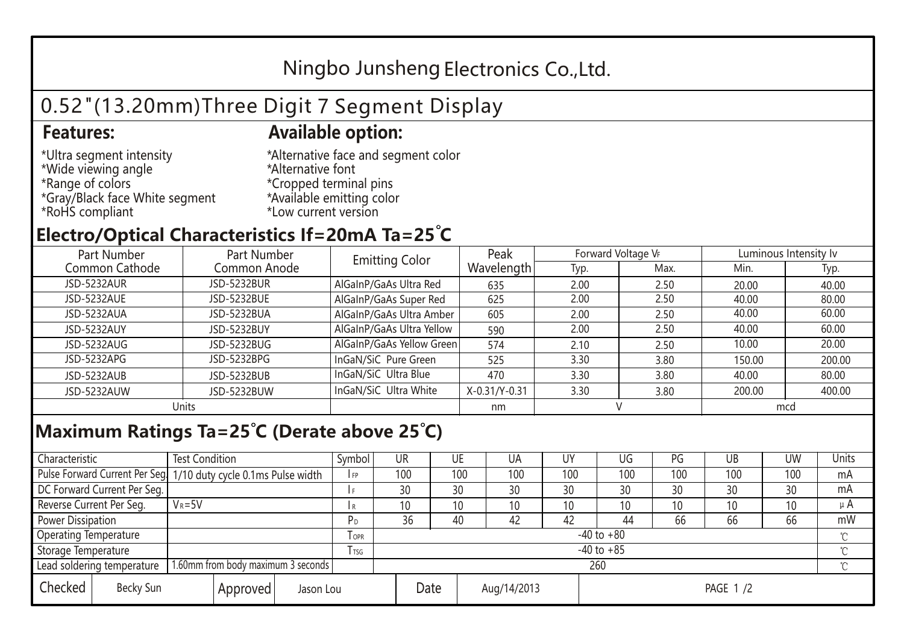## Ningbo Junsheng Electronics Co.,Ltd.

# 0.52"(13.20mm)Three Digit 7 Segment Display

### **Features: Available option:**

- \*Ultra segment intensity \*Wide viewing angle \*Range of colors \*Gray/Black face White segment \*RoHS compliant
- \*Alternative face and segment color \*Alternative font \*Cropped terminal pins \*Available emitting color \*Low current version

### **Electro/Optical Characteristics If=20mA Ta=25 C**

| Part Number    | Part Number        | <b>Emitting Color</b>     | Peak          | Forward Voltage VF |      | Luminous Intensity Iv |        |  |
|----------------|--------------------|---------------------------|---------------|--------------------|------|-----------------------|--------|--|
| Common Cathode | Common Anode       |                           | Wavelength    | Typ.               | Max. | Min.                  | Typ.   |  |
| JSD-5232AUR    | <b>JSD-5232BUR</b> | AlGaInP/GaAs Ultra Red    | 635           | 2.00               | 2.50 | 20.00                 | 40.00  |  |
| JSD-5232AUE    | JSD-5232BUE        | AlGaInP/GaAs Super Red    | 625           | 2.00               | 2.50 | 40.00                 | 80.00  |  |
| JSD-5232AUA    | JSD-5232BUA        | AlGaInP/GaAs Ultra Amber  | 605           | 2.00               | 2.50 | 40.00                 | 60.00  |  |
| JSD-5232AUY    | JSD-5232BUY        | AlGaInP/GaAs Ultra Yellow | 590           | 2.00               | 2.50 | 40.00                 | 60.00  |  |
| JSD-5232AUG    | JSD-5232BUG        | AlGaInP/GaAs Yellow Green | 574           | 2.10               | 2.50 | 10.00                 | 20.00  |  |
| JSD-5232APG    | JSD-5232BPG        | InGaN/SiC Pure Green      | 525           | 3.30               | 3.80 | 150.00                | 200.00 |  |
| JSD-5232AUB    | JSD-5232BUB        | InGaN/SiC Ultra Blue      | 470           | 3.30               | 3.80 | 40.00                 | 80.00  |  |
| JSD-5232AUW    | JSD-5232BUW        | InGaN/SiC Ultra White     | X-0.31/Y-0.31 | 3.30               | 3.80 | 200.00                | 400.00 |  |
| Units          |                    |                           | nm            |                    |      | mcd                   |        |  |

#### **Maximum Ratings Ta=25°C (Derate above 25°C)**

| Characteristic               |                                    | <b>Test Condition</b><br>Symbol                                 |                |         | UR              | UE |             | UA  | UΥ              | UG  | PG  | UB     | <b>UW</b> | Units   |
|------------------------------|------------------------------------|-----------------------------------------------------------------|----------------|---------|-----------------|----|-------------|-----|-----------------|-----|-----|--------|-----------|---------|
|                              |                                    | Pulse Forward Current Per Seg 1/10 duty cycle 0.1ms Pulse width |                |         | 100             |    | 100         | 100 | 100             | 100 | 100 | 100    | 100       | mA      |
| DC Forward Current Per Seg.  |                                    |                                                                 |                |         | 30              | 30 |             | 30  | 30              | 30  | 30  | 30     | 30        | mA      |
| Reverse Current Per Seg.     | $V_R = 5V$                         |                                                                 |                |         | 10 <sup>1</sup> | 10 |             | 10  | 10              | 10  | 10  | 10     | 10        | $\mu$ A |
| <b>Power Dissipation</b>     |                                    |                                                                 |                |         | 36              | 40 |             | 42  | 42              | 44  | 66  | 66     | 66        | mW      |
| <b>Operating Temperature</b> |                                    |                                                                 |                | $I$ OPR | $-40$ to $+80$  |    |             |     |                 |     |     |        |           |         |
| Storage Temperature          |                                    | l tsg                                                           | $-40$ to $+85$ |         |                 |    |             |     |                 |     |     | $\sim$ |           |         |
| Lead soldering temperature   |                                    | 1.60mm from body maximum 3 seconds                              |                |         | 260             |    |             |     |                 |     |     |        |           |         |
| Checked                      | Becky Sun<br>Approved<br>Jason Lou |                                                                 |                | Date    |                 |    | Aug/14/2013 |     | <b>PAGE 1/2</b> |     |     |        |           |         |